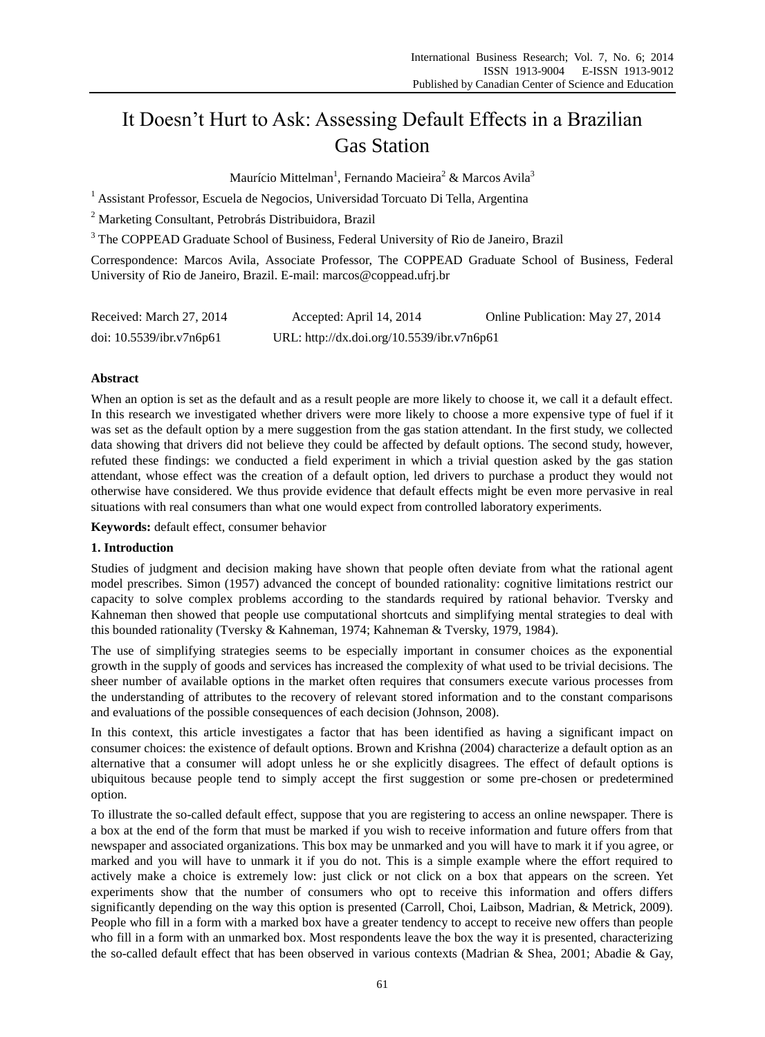# It Doesn't Hurt to Ask: Assessing Default Effects in a Brazilian Gas Station

Maur éio Mittelman<sup>1</sup>, Fernando Macieira<sup>2</sup> & Marcos Avila<sup>3</sup>

 $1$  Assistant Professor, Escuela de Negocios, Universidad Torcuato Di Tella, Argentina

<sup>2</sup> Marketing Consultant, Petrobrás Distribuidora, Brazil

<sup>3</sup> The COPPEAD Graduate School of Business, Federal University of Rio de Janeiro, Brazil

Correspondence: Marcos Avila, Associate Professor, The COPPEAD Graduate School of Business, Federal University of Rio de Janeiro, Brazil. E-mail: marcos@coppead.ufrj.br

| Received: March 27, 2014    | Accepted: April 14, 2014                   | Online Publication: May 27, 2014 |
|-----------------------------|--------------------------------------------|----------------------------------|
| doi: $10.5539$ /ibr.v7n6p61 | URL: http://dx.doi.org/10.5539/ibr.v7n6p61 |                                  |

# **Abstract**

When an option is set as the default and as a result people are more likely to choose it, we call it a default effect. In this research we investigated whether drivers were more likely to choose a more expensive type of fuel if it was set as the default option by a mere suggestion from the gas station attendant. In the first study, we collected data showing that drivers did not believe they could be affected by default options. The second study, however, refuted these findings: we conducted a field experiment in which a trivial question asked by the gas station attendant, whose effect was the creation of a default option, led drivers to purchase a product they would not otherwise have considered. We thus provide evidence that default effects might be even more pervasive in real situations with real consumers than what one would expect from controlled laboratory experiments.

**Keywords:** default effect, consumer behavior

### **1. Introduction**

Studies of judgment and decision making have shown that people often deviate from what the rational agent model prescribes. Simon (1957) advanced the concept of bounded rationality: cognitive limitations restrict our capacity to solve complex problems according to the standards required by rational behavior. Tversky and Kahneman then showed that people use computational shortcuts and simplifying mental strategies to deal with this bounded rationality (Tversky & Kahneman, 1974; Kahneman & Tversky, 1979, 1984).

The use of simplifying strategies seems to be especially important in consumer choices as the exponential growth in the supply of goods and services has increased the complexity of what used to be trivial decisions. The sheer number of available options in the market often requires that consumers execute various processes from the understanding of attributes to the recovery of relevant stored information and to the constant comparisons and evaluations of the possible consequences of each decision (Johnson, 2008).

In this context, this article investigates a factor that has been identified as having a significant impact on consumer choices: the existence of default options. Brown and Krishna (2004) characterize a default option as an alternative that a consumer will adopt unless he or she explicitly disagrees. The effect of default options is ubiquitous because people tend to simply accept the first suggestion or some pre-chosen or predetermined option.

To illustrate the so-called default effect, suppose that you are registering to access an online newspaper. There is a box at the end of the form that must be marked if you wish to receive information and future offers from that newspaper and associated organizations. This box may be unmarked and you will have to mark it if you agree, or marked and you will have to unmark it if you do not. This is a simple example where the effort required to actively make a choice is extremely low: just click or not click on a box that appears on the screen. Yet experiments show that the number of consumers who opt to receive this information and offers differs significantly depending on the way this option is presented (Carroll, Choi, Laibson, Madrian, & Metrick, 2009). People who fill in a form with a marked box have a greater tendency to accept to receive new offers than people who fill in a form with an unmarked box. Most respondents leave the box the way it is presented, characterizing the so-called default effect that has been observed in various contexts (Madrian & Shea, 2001; Abadie & Gay,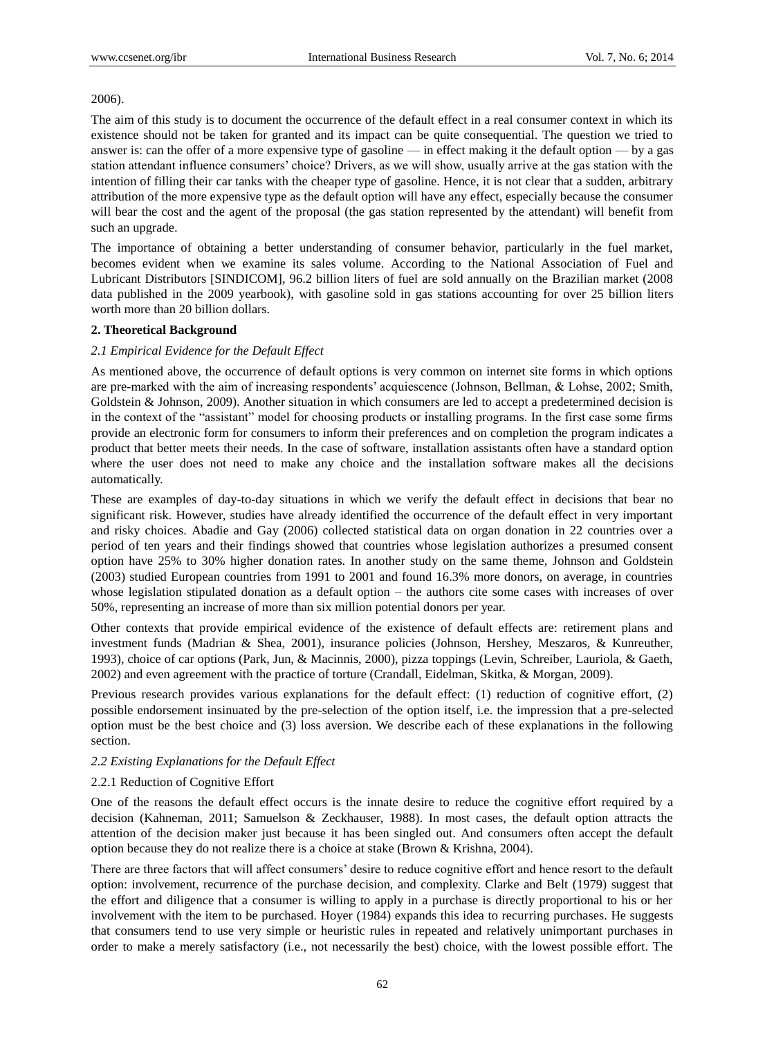### 2006).

The aim of this study is to document the occurrence of the default effect in a real consumer context in which its existence should not be taken for granted and its impact can be quite consequential. The question we tried to answer is: can the offer of a more expensive type of gasoline — in effect making it the default option — by a gas station attendant influence consumers' choice? Drivers, as we will show, usually arrive at the gas station with the intention of filling their car tanks with the cheaper type of gasoline. Hence, it is not clear that a sudden, arbitrary attribution of the more expensive type as the default option will have any effect, especially because the consumer will bear the cost and the agent of the proposal (the gas station represented by the attendant) will benefit from such an upgrade.

The importance of obtaining a better understanding of consumer behavior, particularly in the fuel market, becomes evident when we examine its sales volume. According to the National Association of Fuel and Lubricant Distributors [SINDICOM], 96.2 billion liters of fuel are sold annually on the Brazilian market (2008 data published in the 2009 yearbook), with gasoline sold in gas stations accounting for over 25 billion liters worth more than 20 billion dollars.

## **2. Theoretical Background**

# *2.1 Empirical Evidence for the Default Effect*

As mentioned above, the occurrence of default options is very common on internet site forms in which options are pre-marked with the aim of increasing respondents' acquiescence (Johnson, Bellman, & Lohse, 2002; Smith, Goldstein & Johnson, 2009). Another situation in which consumers are led to accept a predetermined decision is in the context of the "assistant" model for choosing products or installing programs. In the first case some firms provide an electronic form for consumers to inform their preferences and on completion the program indicates a product that better meets their needs. In the case of software, installation assistants often have a standard option where the user does not need to make any choice and the installation software makes all the decisions automatically.

These are examples of day-to-day situations in which we verify the default effect in decisions that bear no significant risk. However, studies have already identified the occurrence of the default effect in very important and risky choices. Abadie and Gay (2006) collected statistical data on organ donation in 22 countries over a period of ten years and their findings showed that countries whose legislation authorizes a presumed consent option have 25% to 30% higher donation rates. In another study on the same theme, Johnson and Goldstein (2003) studied European countries from 1991 to 2001 and found 16.3% more donors, on average, in countries whose legislation stipulated donation as a default option – the authors cite some cases with increases of over 50%, representing an increase of more than six million potential donors per year.

Other contexts that provide empirical evidence of the existence of default effects are: retirement plans and investment funds (Madrian & Shea, 2001), insurance policies (Johnson, Hershey, Meszaros, & Kunreuther, 1993), choice of car options (Park, Jun, & Macinnis, 2000), pizza toppings (Levin, Schreiber, Lauriola, & Gaeth, 2002) and even agreement with the practice of torture (Crandall, Eidelman, Skitka, & Morgan, 2009).

Previous research provides various explanations for the default effect: (1) reduction of cognitive effort, (2) possible endorsement insinuated by the pre-selection of the option itself, i.e. the impression that a pre-selected option must be the best choice and (3) loss aversion. We describe each of these explanations in the following section.

# *2.2 Existing Explanations for the Default Effect*

### 2.2.1 Reduction of Cognitive Effort

One of the reasons the default effect occurs is the innate desire to reduce the cognitive effort required by a decision (Kahneman, 2011; Samuelson & Zeckhauser, 1988). In most cases, the default option attracts the attention of the decision maker just because it has been singled out. And consumers often accept the default option because they do not realize there is a choice at stake (Brown & Krishna, 2004).

There are three factors that will affect consumers' desire to reduce cognitive effort and hence resort to the default option: involvement, recurrence of the purchase decision, and complexity. Clarke and Belt (1979) suggest that the effort and diligence that a consumer is willing to apply in a purchase is directly proportional to his or her involvement with the item to be purchased. Hoyer (1984) expands this idea to recurring purchases. He suggests that consumers tend to use very simple or heuristic rules in repeated and relatively unimportant purchases in order to make a merely satisfactory (i.e., not necessarily the best) choice, with the lowest possible effort. The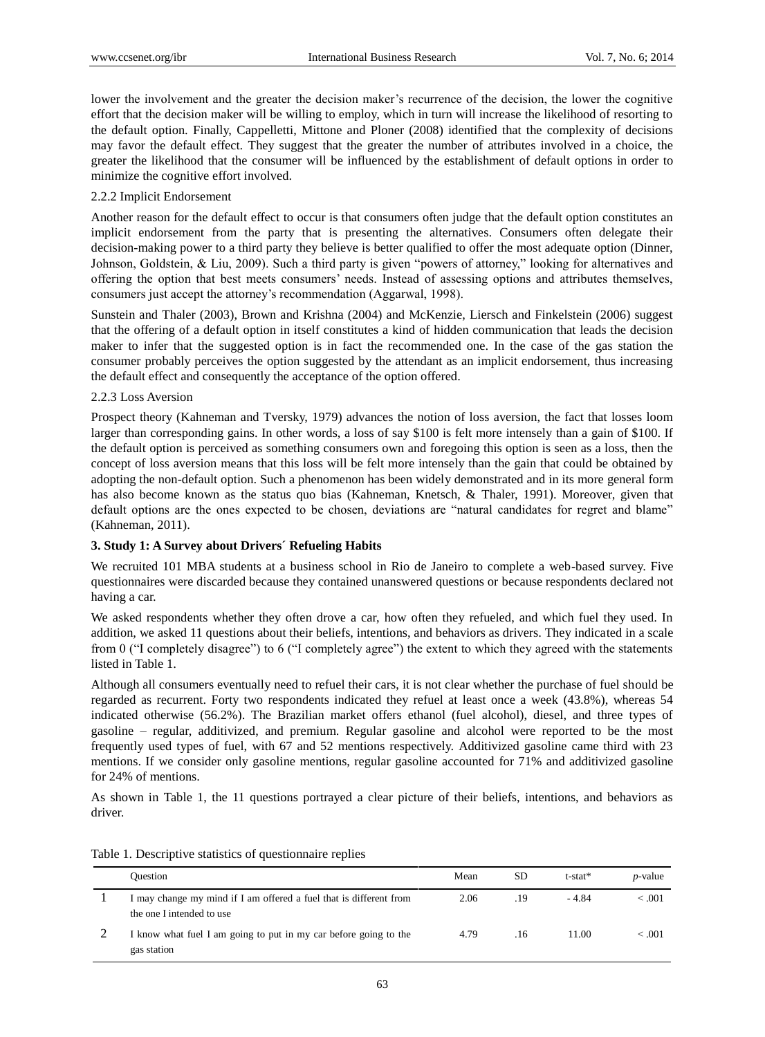lower the involvement and the greater the decision maker's recurrence of the decision, the lower the cognitive effort that the decision maker will be willing to employ, which in turn will increase the likelihood of resorting to the default option. Finally, Cappelletti, Mittone and Ploner (2008) identified that the complexity of decisions may favor the default effect. They suggest that the greater the number of attributes involved in a choice, the greater the likelihood that the consumer will be influenced by the establishment of default options in order to minimize the cognitive effort involved.

## 2.2.2 Implicit Endorsement

Another reason for the default effect to occur is that consumers often judge that the default option constitutes an implicit endorsement from the party that is presenting the alternatives. Consumers often delegate their decision-making power to a third party they believe is better qualified to offer the most adequate option (Dinner, Johnson, Goldstein, & Liu, 2009). Such a third party is given "powers of attorney," looking for alternatives and offering the option that best meets consumers' needs. Instead of assessing options and attributes themselves, consumers just accept the attorney's recommendation (Aggarwal, 1998).

Sunstein and Thaler (2003), Brown and Krishna (2004) and McKenzie, Liersch and Finkelstein (2006) suggest that the offering of a default option in itself constitutes a kind of hidden communication that leads the decision maker to infer that the suggested option is in fact the recommended one. In the case of the gas station the consumer probably perceives the option suggested by the attendant as an implicit endorsement, thus increasing the default effect and consequently the acceptance of the option offered.

### 2.2.3 Loss Aversion

Prospect theory (Kahneman and Tversky, 1979) advances the notion of loss aversion, the fact that losses loom larger than corresponding gains. In other words, a loss of say \$100 is felt more intensely than a gain of \$100. If the default option is perceived as something consumers own and foregoing this option is seen as a loss, then the concept of loss aversion means that this loss will be felt more intensely than the gain that could be obtained by adopting the non-default option. Such a phenomenon has been widely demonstrated and in its more general form has also become known as the status quo bias (Kahneman, Knetsch, & Thaler, 1991). Moreover, given that default options are the ones expected to be chosen, deviations are "natural candidates for regret and blame" (Kahneman, 2011).

# **3. Study 1: A Survey about Drivers´ Refueling Habits**

We recruited 101 MBA students at a business school in Rio de Janeiro to complete a web-based survey. Five questionnaires were discarded because they contained unanswered questions or because respondents declared not having a car.

We asked respondents whether they often drove a car, how often they refueled, and which fuel they used. In addition, we asked 11 questions about their beliefs, intentions, and behaviors as drivers. They indicated in a scale from 0 ( $\degree$ I completely disagree $\degree$ ) to 6 ( $\degree$ I completely agree $\degree$ ) the extent to which they agreed with the statements listed in Table 1.

Although all consumers eventually need to refuel their cars, it is not clear whether the purchase of fuel should be regarded as recurrent. Forty two respondents indicated they refuel at least once a week (43.8%), whereas 54 indicated otherwise (56.2%). The Brazilian market offers ethanol (fuel alcohol), diesel, and three types of gasoline – regular, additivized, and premium. Regular gasoline and alcohol were reported to be the most frequently used types of fuel, with 67 and 52 mentions respectively. Additivized gasoline came third with 23 mentions. If we consider only gasoline mentions, regular gasoline accounted for 71% and additivized gasoline for 24% of mentions.

As shown in Table 1, the 11 questions portrayed a clear picture of their beliefs, intentions, and behaviors as driver.

| <b>Ouestion</b>                                                                                 | Mean | <b>SD</b> | t-stat* | <i>p</i> -value |
|-------------------------------------------------------------------------------------------------|------|-----------|---------|-----------------|
| I may change my mind if I am offered a fuel that is different from<br>the one I intended to use | 2.06 | .19       | - 4.84  | < 0.001         |
| I know what fuel I am going to put in my car before going to the<br>gas station                 | 4.79 | .16       | 11.00   | < .001          |

Table 1. Descriptive statistics of questionnaire replies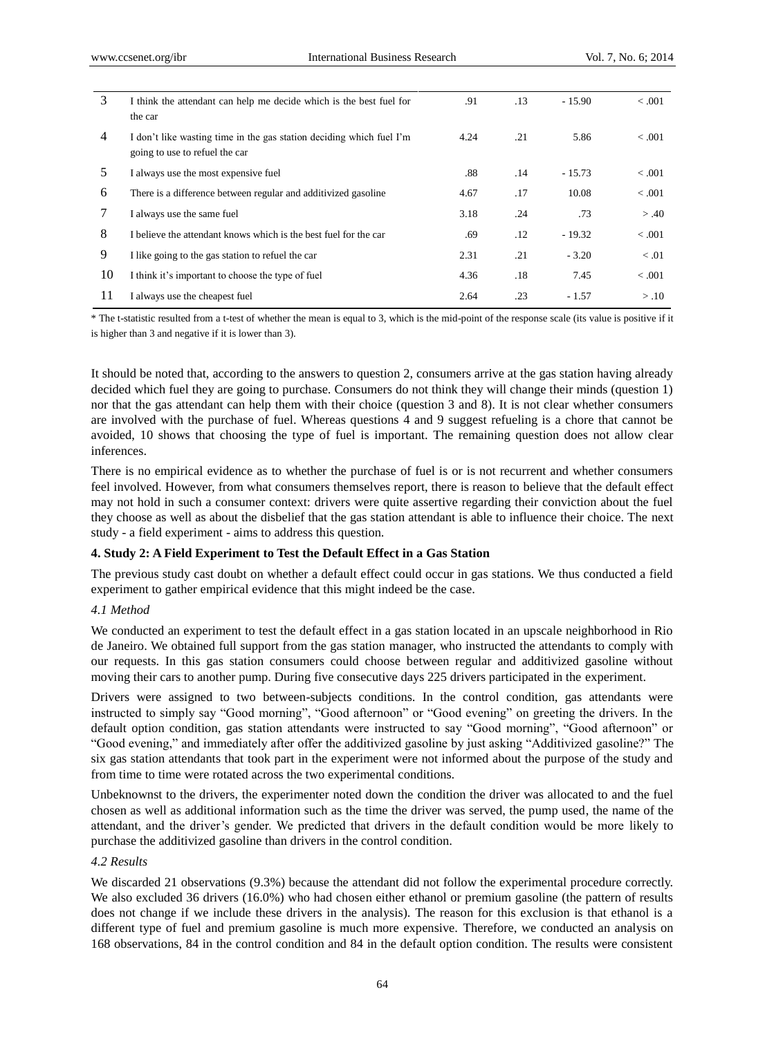| 3              | I think the attendant can help me decide which is the best fuel for<br>the car                         | .91  | .13 | $-15.90$ | < .001  |
|----------------|--------------------------------------------------------------------------------------------------------|------|-----|----------|---------|
| $\overline{4}$ | I don't like wasting time in the gas station deciding which fuel I'm<br>going to use to refuel the car | 4.24 | .21 | 5.86     | < 0.001 |
| 5              | I always use the most expensive fuel                                                                   | .88  | .14 | $-15.73$ | < 0.001 |
| 6              | There is a difference between regular and additivized gasoline                                         | 4.67 | .17 | 10.08    | < 0.001 |
|                | I always use the same fuel                                                                             | 3.18 | .24 | .73      | > .40   |
| 8              | I believe the attendant knows which is the best fuel for the car                                       | .69  | .12 | $-19.32$ | < 0.001 |
| 9              | I like going to the gas station to refuel the car                                                      | 2.31 | .21 | $-3.20$  | < 0.01  |
| 10             | I think it's important to choose the type of fuel                                                      | 4.36 | .18 | 7.45     | < 0.001 |
| 11             | I always use the cheapest fuel                                                                         | 2.64 | .23 | $-1.57$  | > .10   |

\* The t-statistic resulted from a t-test of whether the mean is equal to 3, which is the mid-point of the response scale (its value is positive if it is higher than 3 and negative if it is lower than 3).

It should be noted that, according to the answers to question 2, consumers arrive at the gas station having already decided which fuel they are going to purchase. Consumers do not think they will change their minds (question 1) nor that the gas attendant can help them with their choice (question 3 and 8). It is not clear whether consumers are involved with the purchase of fuel. Whereas questions 4 and 9 suggest refueling is a chore that cannot be avoided, 10 shows that choosing the type of fuel is important. The remaining question does not allow clear inferences.

There is no empirical evidence as to whether the purchase of fuel is or is not recurrent and whether consumers feel involved. However, from what consumers themselves report, there is reason to believe that the default effect may not hold in such a consumer context: drivers were quite assertive regarding their conviction about the fuel they choose as well as about the disbelief that the gas station attendant is able to influence their choice. The next study - a field experiment - aims to address this question.

#### **4. Study 2: A Field Experiment to Test the Default Effect in a Gas Station**

The previous study cast doubt on whether a default effect could occur in gas stations. We thus conducted a field experiment to gather empirical evidence that this might indeed be the case.

### *4.1 Method*

We conducted an experiment to test the default effect in a gas station located in an upscale neighborhood in Rio de Janeiro. We obtained full support from the gas station manager, who instructed the attendants to comply with our requests. In this gas station consumers could choose between regular and additivized gasoline without moving their cars to another pump. During five consecutive days 225 drivers participated in the experiment.

Drivers were assigned to two between-subjects conditions. In the control condition, gas attendants were instructed to simply say "Good morning", "Good afternoon" or "Good evening" on greeting the drivers. In the default option condition, gas station attendants were instructed to say "Good morning", "Good afternoon" or "Good evening," and immediately after offer the additivized gasoline by just asking "Additivized gasoline?" The six gas station attendants that took part in the experiment were not informed about the purpose of the study and from time to time were rotated across the two experimental conditions.

Unbeknownst to the drivers, the experimenter noted down the condition the driver was allocated to and the fuel chosen as well as additional information such as the time the driver was served, the pump used, the name of the attendant, and the driver's gender. We predicted that drivers in the default condition would be more likely to purchase the additivized gasoline than drivers in the control condition.

#### *4.2 Results*

We discarded 21 observations  $(9.3%)$  because the attendant did not follow the experimental procedure correctly. We also excluded 36 drivers (16.0%) who had chosen either ethanol or premium gasoline (the pattern of results does not change if we include these drivers in the analysis). The reason for this exclusion is that ethanol is a different type of fuel and premium gasoline is much more expensive. Therefore, we conducted an analysis on 168 observations, 84 in the control condition and 84 in the default option condition. The results were consistent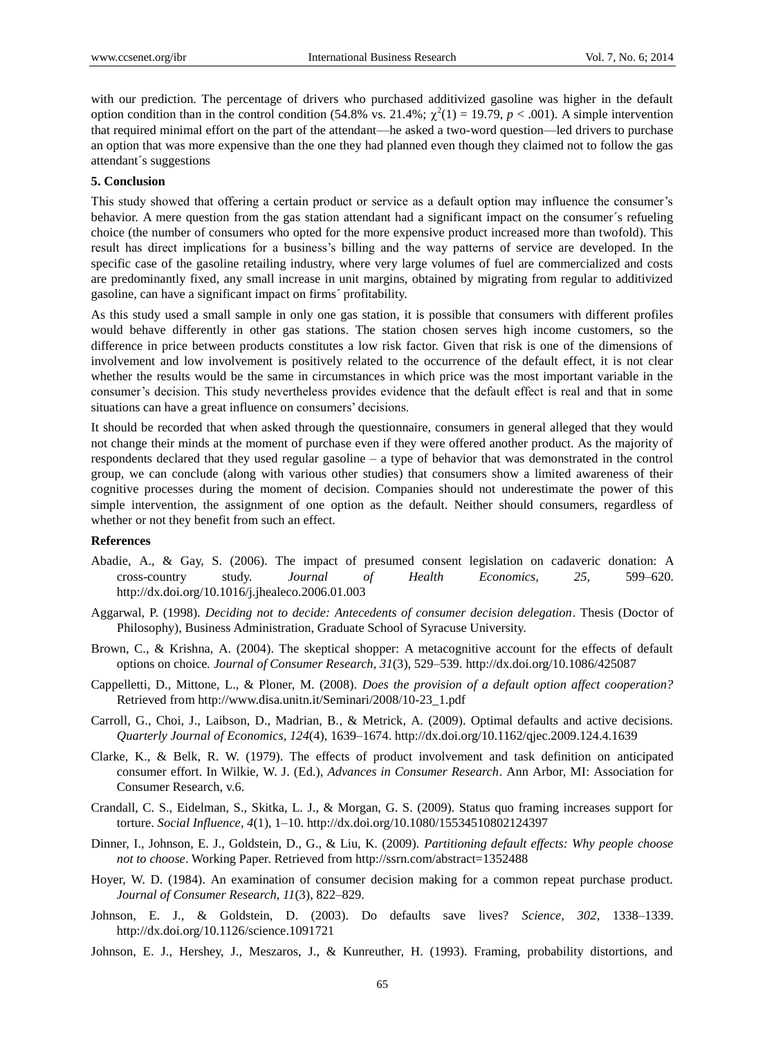with our prediction. The percentage of drivers who purchased additivized gasoline was higher in the default option condition than in the control condition (54.8% vs. 21.4%;  $\chi^2(1) = 19.79$ ,  $p < .001$ ). A simple intervention that required minimal effort on the part of the attendant—he asked a two-word question—led drivers to purchase an option that was more expensive than the one they had planned even though they claimed not to follow the gas attendant *s* suggestions

#### **5. Conclusion**

This study showed that offering a certain product or service as a default option may influence the consumer's behavior. A mere question from the gas station attendant had a significant impact on the consumer  $\acute{\text{s}}$  refueling choice (the number of consumers who opted for the more expensive product increased more than twofold). This result has direct implications for a business's billing and the way patterns of service are developed. In the specific case of the gasoline retailing industry, where very large volumes of fuel are commercialized and costs are predominantly fixed, any small increase in unit margins, obtained by migrating from regular to additivized gasoline, can have a significant impact on firms´ profitability.

As this study used a small sample in only one gas station, it is possible that consumers with different profiles would behave differently in other gas stations. The station chosen serves high income customers, so the difference in price between products constitutes a low risk factor. Given that risk is one of the dimensions of involvement and low involvement is positively related to the occurrence of the default effect, it is not clear whether the results would be the same in circumstances in which price was the most important variable in the consumer's decision. This study nevertheless provides evidence that the default effect is real and that in some situations can have a great influence on consumers' decisions.

It should be recorded that when asked through the questionnaire, consumers in general alleged that they would not change their minds at the moment of purchase even if they were offered another product. As the majority of respondents declared that they used regular gasoline – a type of behavior that was demonstrated in the control group, we can conclude (along with various other studies) that consumers show a limited awareness of their cognitive processes during the moment of decision. Companies should not underestimate the power of this simple intervention, the assignment of one option as the default. Neither should consumers, regardless of whether or not they benefit from such an effect.

## **References**

- Abadie, A., & Gay, S. (2006). The impact of presumed consent legislation on cadaveric donation: A cross-country study. *Journal of Health Economics, 25*, 599–620. http://dx.doi.org/10.1016/j.jhealeco.2006.01.003
- Aggarwal, P. (1998). *Deciding not to decide: Antecedents of consumer decision delegation*. Thesis (Doctor of Philosophy), Business Administration, Graduate School of Syracuse University.
- Brown, C., & Krishna, A. (2004). The skeptical shopper: A metacognitive account for the effects of default options on choice*. Journal of Consumer Research, 31*(3), 529–539. http://dx.doi.org/10.1086/425087
- Cappelletti, D., Mittone, L., & Ploner, M. (2008). *Does the provision of a default option affect cooperation?*  Retrieved from http://www.disa.unitn.it/Seminari/2008/10-23\_1.pdf
- Carroll, G., Choi, J., Laibson, D., Madrian, B., & Metrick, A. (2009). Optimal defaults and active decisions. *Quarterly Journal of Economics, 124*(4), 1639–1674. http://dx.doi.org/10.1162/qjec.2009.124.4.1639
- Clarke, K., & Belk, R. W. (1979). The effects of product involvement and task definition on anticipated consumer effort. In Wilkie, W. J. (Ed.), *Advances in Consumer Research*. Ann Arbor, MI: Association for Consumer Research, v.6.
- Crandall, C. S., Eidelman, S., Skitka, L. J., & Morgan, G. S. (2009). Status quo framing increases support for torture. *Social Influence, 4*(1), 1–10. http://dx.doi.org/10.1080/15534510802124397
- Dinner, I., Johnson, E. J., Goldstein, D., G., & Liu, K. (2009). *Partitioning default effects: Why people choose not to choose*. Working Paper. Retrieved from http://ssrn.com/abstract=1352488
- Hoyer, W. D. (1984). An examination of consumer decision making for a common repeat purchase product. *Journal of Consumer Research, 11*(3), 822–829.
- Johnson, E. J., & Goldstein, D. (2003). Do defaults save lives? *Science, 302*, 1338–1339. http://dx.doi.org/10.1126/science.1091721
- Johnson, E. J., Hershey, J., Meszaros, J., & Kunreuther, H. (1993). Framing, probability distortions, and